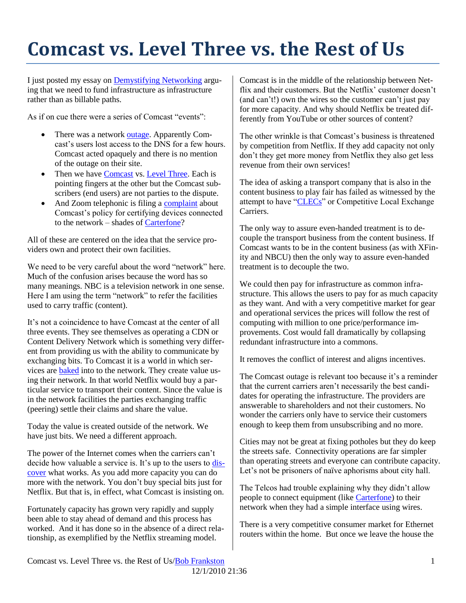## **Comcast vs. Level Three vs. the Rest of Us**

I just posted my essay on [Demystifying Networking](http://rmf.vc/?n=Demystify) arguing that we need to fund infrastructure as infrastructure rather than as billable paths.

As if on cue there were a series of Comcast "events".

- There was a networ[k outage.](http://news.cnet.com/8301-1023_3-20023949-93.html) Apparently Comcast's users lost access to the DNS for a few hours. Comcast acted opaquely and there is no mention of the outage on their site.
- Then we have [Comcast](http://blog.comcast.com/2010/11/comcast-comments-on-level-3.html) vs. [Level Three.](http://www.marketwatch.com/story/level-3-communications-issues-statement-concerning-comcasts-actions-2010-11-29?reflink=MW_news_stmp) Each is pointing fingers at the other but the Comcast subscribers (end users) are not parties to the dispute.
- And Zoom telephonic is filing a [complaint](http://www.zoomtel.com/documentation/news/20101129_Zoom_Comcast_Complaint.pdf) about Comcast's policy for certifying devices connected to the network – shades of [Carterfone?](http://en.wikipedia.org/wiki/Carterfone)

All of these are centered on the idea that the service providers own and protect their own facilities.

We need to be very careful about the word "network" here. Much of the confusion arises because the word has so many meanings. NBC is a television network in one sense. Here I am using the term "network" to refer the facilities used to carry traffic (content).

It's not a coincidence to have Comcast at the center of all three events. They see themselves as operating a CDN or Content Delivery Network which is something very different from providing us with the ability to communicate by exchanging bits. To Comcast it is a world in which services are [baked](http://rmf.vc/?n=Unbaked) into to the network. They create value using their network. In that world Netflix would buy a particular service to transport their content. Since the value is in the network facilities the parties exchanging traffic (peering) settle their claims and share the value.

Today the value is created outside of the network. We have just bits. We need a different approach.

The power of the Internet comes when the carriers can't decide how valuable a service is. It's up to the users to [dis](http://rmf.vc/?n=PvD)[cover](http://rmf.vc/?n=PvD) what works. As you add more capacity you can do more with the network. You don't buy special bits just for Netflix. But that is, in effect, what Comcast is insisting on.

Fortunately capacity has grown very rapidly and supply been able to stay ahead of demand and this process has worked. And it has done so in the absence of a direct relationship, as exemplified by the Netflix streaming model.

Comcast is in the middle of the relationship between Netflix and their customers. But the Netflix' customer doesn't (and can't!) own the wires so the customer can't just pay for more capacity. And why should Netflix be treated differently from YouTube or other sources of content?

The other wrinkle is that Comcast's business is threatened by competition from Netflix. If they add capacity not only don't they get more money from Netflix they also get less revenue from their own services!

The idea of asking a transport company that is also in the content business to play fair has failed as witnessed by the attempt to have ["CLECs"](http://en.wikipedia.org/wiki/Competitive_local_exchange_carrier) or Competitive Local Exchange Carriers.

The only way to assure even-handed treatment is to decouple the transport business from the content business. If Comcast wants to be in the content business (as with XFinity and NBCU) then the only way to assure even-handed treatment is to decouple the two.

We could then pay for infrastructure as common infrastructure. This allows the users to pay for as much capacity as they want. And with a very competitive market for gear and operational services the prices will follow the rest of computing with million to one price/performance improvements. Cost would fall dramatically by collapsing redundant infrastructure into a commons.

It removes the conflict of interest and aligns incentives.

The Comcast outage is relevant too because it's a reminder that the current carriers aren't necessarily the best candidates for operating the infrastructure. The providers are answerable to shareholders and not their customers. No wonder the carriers only have to service their customers enough to keep them from unsubscribing and no more.

Cities may not be great at fixing potholes but they do keep the streets safe. Connectivity operations are far simpler than operating streets and everyone can contribute capacity. Let's not be prisoners of naïve aphorisms about city hall.

The Telcos had trouble explaining why they didn't allow people to connect equipment (like [Carterfone\)](http://en.wikipedia.org/wiki/Carterfone) to their network when they had a simple interface using wires.

There is a very competitive consumer market for Ethernet routers within the home. But once we leave the house the